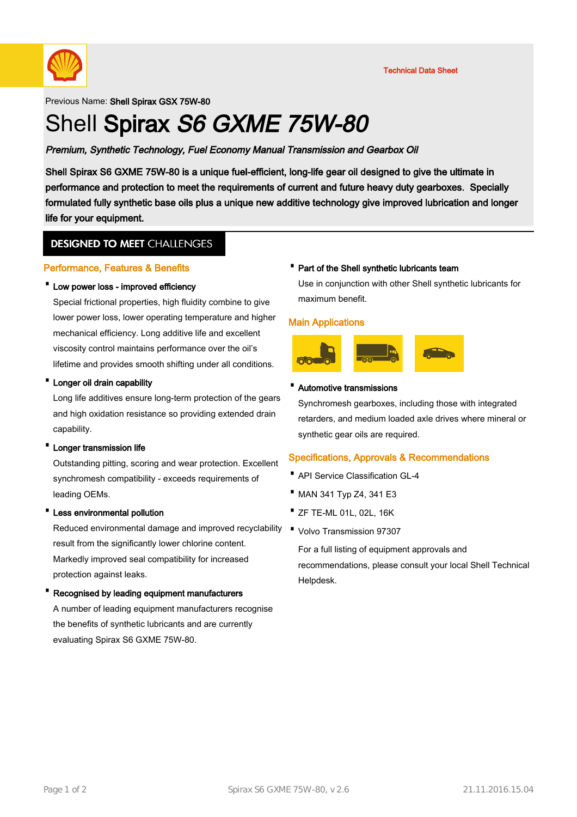

Previous Name: Shell Spirax GSX 75W-80

# Shell Spirax S6 GXME 75W-80

# Premium, Synthetic Technology, Fuel Economy Manual Transmission and Gearbox Oil

Shell Spirax S6 GXME 75W-80 is a unique fuel-efficient, long-life gear oil designed to give the ultimate in performance and protection to meet the requirements of current and future heavy duty gearboxes. Specially formulated fully synthetic base oils plus a unique new additive technology give improved lubrication and longer life for your equipment.

# **DESIGNED TO MEET CHALLENGES**

## Performance, Features & Benefits

## · Low power loss - improved efficiency

Special frictional properties, high fluidity combine to give lower power loss, lower operating temperature and higher mechanical efficiency. Long additive life and excellent viscosity control maintains performance over the oil's lifetime and provides smooth shifting under all conditions.

#### · Longer oil drain capability

Long life additives ensure long-term protection of the gears and high oxidation resistance so providing extended drain capability.

#### · Longer transmission life

Outstanding pitting, scoring and wear protection. Excellent synchromesh compatibility - exceeds requirements of leading OEMs.

#### Less environmental pollution

Reduced environmental damage and improved recyclability result from the significantly lower chlorine content. Markedly improved seal compatibility for increased protection against leaks.

#### · Recognised by leading equipment manufacturers

A number of leading equipment manufacturers recognise the benefits of synthetic lubricants and are currently evaluating Spirax S6 GXME 75W-80.

#### · Part of the Shell synthetic lubricants team

Use in conjunction with other Shell synthetic lubricants for maximum benefit.

#### Main Applications



#### · Automotive transmissions

Synchromesh gearboxes, including those with integrated retarders, and medium loaded axle drives where mineral or synthetic gear oils are required.

# Specifications, Approvals & Recommendations

- · API Service Classification GL-4
- · MAN 341 Typ Z4, 341 E3
- · ZF TE-ML 01L, 02L, 16K
- · Volvo Transmission 97307

For a full listing of equipment approvals and recommendations, please consult your local Shell Technical Helpdesk.